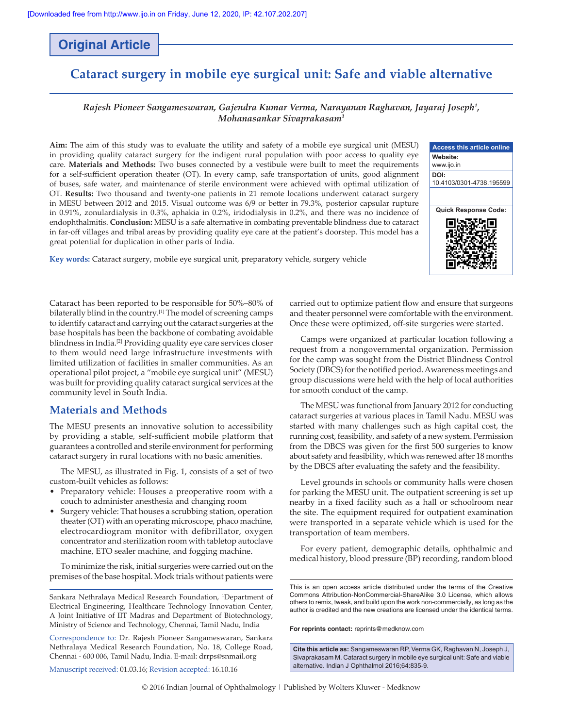# **Original Article**

# **Cataract surgery in mobile eye surgical unit: Safe and viable alternative**

### *Rajesh Pioneer Sangameswaran, Gajendra Kumar Verma, Narayanan Raghavan, Jayaraj Joseph1 , Mohanasankar Sivaprakasam1*

**Aim:** The aim of this study was to evaluate the utility and safety of a mobile eye surgical unit (MESU) in providing quality cataract surgery for the indigent rural population with poor access to quality eye care. **Materials and Methods:** Two buses connected by a vestibule were built to meet the requirements for a self-sufficient operation theater (OT). In every camp, safe transportation of units, good alignment of buses, safe water, and maintenance of sterile environment were achieved with optimal utilization of OT. **Results:** Two thousand and twenty‑one patients in 21 remote locations underwent cataract surgery in MESU between 2012 and 2015. Visual outcome was 6/9 or better in 79.3%, posterior capsular rupture in 0.91%, zonulardialysis in 0.3%, aphakia in 0.2%, iridodialysis in 0.2%, and there was no incidence of endophthalmitis. **Conclusion:** MESU is a safe alternative in combating preventable blindness due to cataract in far‑off villages and tribal areas by providing quality eye care at the patient's doorstep. This model has a great potential for duplication in other parts of India.

**Key words:** Cataract surgery, mobile eye surgical unit, preparatory vehicle, surgery vehicle



Cataract has been reported to be responsible for 50%–80% of bilaterally blind in the country.[1] The model of screening camps to identify cataract and carrying out the cataract surgeries at the base hospitals has been the backbone of combating avoidable blindness in India.[2] Providing quality eye care services closer to them would need large infrastructure investments with limited utilization of facilities in smaller communities. As an operational pilot project, a "mobile eye surgical unit" (MESU) was built for providing quality cataract surgical services at the community level in South India.

## **Materials and Methods**

The MESU presents an innovative solution to accessibility by providing a stable, self‑sufficient mobile platform that guarantees a controlled and sterile environment for performing cataract surgery in rural locations with no basic amenities.

The MESU, as illustrated in Fig. 1, consists of a set of two custom‑built vehicles as follows:

- Preparatory vehicle: Houses a preoperative room with a couch to administer anesthesia and changing room
- Surgery vehicle: That houses a scrubbing station, operation theater (OT) with an operating microscope, phaco machine, electrocardiogram monitor with defibrillator, oxygen concentrator and sterilization room with tabletop autoclave machine, ETO sealer machine, and fogging machine.

To minimize the risk, initial surgeries were carried out on the premises of the base hospital. Mock trials without patients were

Sankara Nethralaya Medical Research Foundation, <sup>1</sup>Department of Electrical Engineering, Healthcare Technology Innovation Center, A Joint Initiative of IIT Madras and Department of Biotechnology, Ministry of Science and Technology, Chennai, Tamil Nadu, India

Correspondence to: Dr. Rajesh Pioneer Sangameswaran, Sankara Nethralaya Medical Research Foundation, No. 18, College Road, Chennai ‑ 600 006, Tamil Nadu, India. E‑mail: drrps@snmail.org

Manuscript received: 01.03.16; Revision accepted: 16.10.16

carried out to optimize patient flow and ensure that surgeons and theater personnel were comfortable with the environment. Once these were optimized, off-site surgeries were started.

Camps were organized at particular location following a request from a nongovernmental organization. Permission for the camp was sought from the District Blindness Control Society (DBCS) for the notified period. Awareness meetings and group discussions were held with the help of local authorities for smooth conduct of the camp.

The MESU was functional from January 2012 for conducting cataract surgeries at various places in Tamil Nadu. MESU was started with many challenges such as high capital cost, the running cost, feasibility, and safety of a new system. Permission from the DBCS was given for the first 500 surgeries to know about safety and feasibility, which was renewed after 18 months by the DBCS after evaluating the safety and the feasibility.

Level grounds in schools or community halls were chosen for parking the MESU unit. The outpatient screening is set up nearby in a fixed facility such as a hall or schoolroom near the site. The equipment required for outpatient examination were transported in a separate vehicle which is used for the transportation of team members.

For every patient, demographic details, ophthalmic and medical history, blood pressure (BP) recording, random blood

This is an open access article distributed under the terms of the Creative Commons Attribution‑NonCommercial‑ShareAlike 3.0 License, which allows others to remix, tweak, and build upon the work non‑commercially, as long as the author is credited and the new creations are licensed under the identical terms.

**For reprints contact:** reprints@medknow.com

**Cite this article as:** Sangameswaran RP, Verma GK, Raghavan N, Joseph J, Sivaprakasam M. Cataract surgery in mobile eye surgical unit: Safe and viable alternative. Indian J Ophthalmol 2016;64:835-9.

© 2016 Indian Journal of Ophthalmology | Published by Wolters Kluwer ‑ Medknow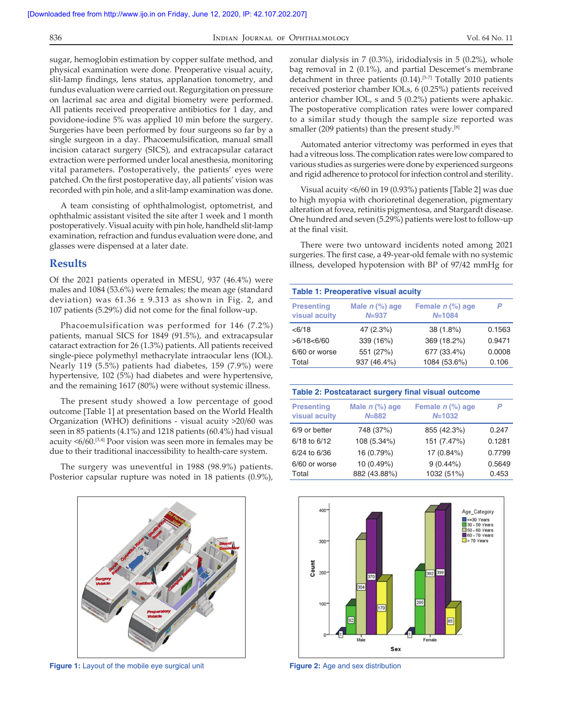sugar, hemoglobin estimation by copper sulfate method, and physical examination were done. Preoperative visual acuity, slit-lamp findings, lens status, applanation tonometry, and fundus evaluation were carried out. Regurgitation on pressure on lacrimal sac area and digital biometry were performed. All patients received preoperative antibiotics for 1 day, and povidone‑iodine 5% was applied 10 min before the surgery. Surgeries have been performed by four surgeons so far by a single surgeon in a day. Phacoemulsification, manual small incision cataract surgery (SICS), and extracapsular cataract extraction were performed under local anesthesia, monitoring vital parameters. Postoperatively, the patients' eyes were patched. On the first postoperative day, all patients' vision was recorded with pin hole, and a slit‑lamp examination was done.

A team consisting of ophthalmologist, optometrist, and ophthalmic assistant visited the site after 1 week and 1 month postoperatively. Visual acuity with pin hole, handheld slit-lamp examination, refraction and fundus evaluation were done, and glasses were dispensed at a later date.

## **Results**

Of the 2021 patients operated in MESU, 937 (46.4%) were males and 1084 (53.6%) were females; the mean age (standard deviation) was  $61.36 \pm 9.313$  as shown in Fig. 2, and 107 patients (5.29%) did not come for the final follow‑up.

Phacoemulsification was performed for 146 (7.2%) patients, manual SICS for 1849 (91.5%), and extracapsular cataract extraction for 26 (1.3%) patients. All patients received single-piece polymethyl methacrylate intraocular lens (IOL). Nearly 119 (5.5%) patients had diabetes, 159 (7.9%) were hypertensive, 102 (5%) had diabetes and were hypertensive, and the remaining 1617 (80%) were without systemic illness.

The present study showed a low percentage of good outcome [Table 1] at presentation based on the World Health Organization (WHO) definitions ‑ visual acuity >20/60 was seen in 85 patients (4.1%) and 1218 patients (60.4%) had visual acuity  $\leq 6/60$ .<sup>[3,4]</sup> Poor vision was seen more in females may be due to their traditional inaccessibility to health-care system.

The surgery was uneventful in 1988 (98.9%) patients. Posterior capsular rupture was noted in 18 patients (0.9%),



**Figure 1:** Layout of the mobile eye surgical unit **Figure 2:** Age and sex distribution

zonular dialysis in 7 (0.3%), iridodialysis in 5 (0.2%), whole bag removal in 2 (0.1%), and partial Descemet's membrane detachment in three patients (0.14).<sup>[5-7]</sup> Totally 2010 patients received posterior chamber IOLs, 6 (0.25%) patients received anterior chamber IOL, s and 5 (0.2%) patients were aphakic. The postoperative complication rates were lower compared to a similar study though the sample size reported was smaller (209 patients) than the present study.<sup>[8]</sup>

Automated anterior vitrectomy was performed in eyes that had a vitreous loss. The complication rates were low compared to various studies as surgeries were done by experienced surgeons and rigid adherence to protocol for infection control and sterility.

Visual acuity <6/60 in 19 (0.93%) patients [Table 2] was due to high myopia with chorioretinal degeneration, pigmentary alteration at fovea, retinitis pigmentosa, and Stargardt disease. One hundred and seven (5.29%) patients were lost to follow‑up at the final visit.

There were two untoward incidents noted among 2021 surgeries. The first case, a 49‑year‑old female with no systemic illness, developed hypotension with BP of 97/42 mmHg for

| <b>Table 1: Preoperative visual acuity</b> |                                 |                                  |                 |  |  |
|--------------------------------------------|---------------------------------|----------------------------------|-----------------|--|--|
| <b>Presenting</b><br>visual acuity         | Male $n$ $%$ ) age<br>$N = 937$ | Female $n$ (%) age<br>$N = 1084$ |                 |  |  |
| < 6/18                                     | 47 (2.3%)                       | 38 (1.8%)                        | 0.1563          |  |  |
| >6/18<6/60                                 | 339 (16%)                       | 369 (18.2%)                      | 0.9471          |  |  |
| 6/60 or worse<br>Total                     | 551 (27%)<br>937 (46.4%)        | 677 (33.4%)<br>1084 (53.6%)      | 0.0008<br>0.106 |  |  |

| Table 2: Postcataract surgery final visual outcome |                               |                                  |        |  |
|----------------------------------------------------|-------------------------------|----------------------------------|--------|--|
| <b>Presenting</b><br>visual acuity                 | Male $n$ (%) age<br>$N = 882$ | Female $n$ (%) age<br>$N = 1032$ | P      |  |
| 6/9 or better                                      | 748 (37%)                     | 855 (42.3%)                      | 0.247  |  |
| 6/18 to 6/12                                       | 108 (5.34%)                   | 151 (7.47%)                      | 0.1281 |  |
| 6/24 to 6/36                                       | 16 (0.79%)                    | 17 (0.84%)                       | 0.7799 |  |
| 6/60 or worse                                      | 10 (0.49%)                    | $9(0.44\%)$                      | 0.5649 |  |
| Total                                              | 882 (43.88%)                  | 1032 (51%)                       | 0.453  |  |

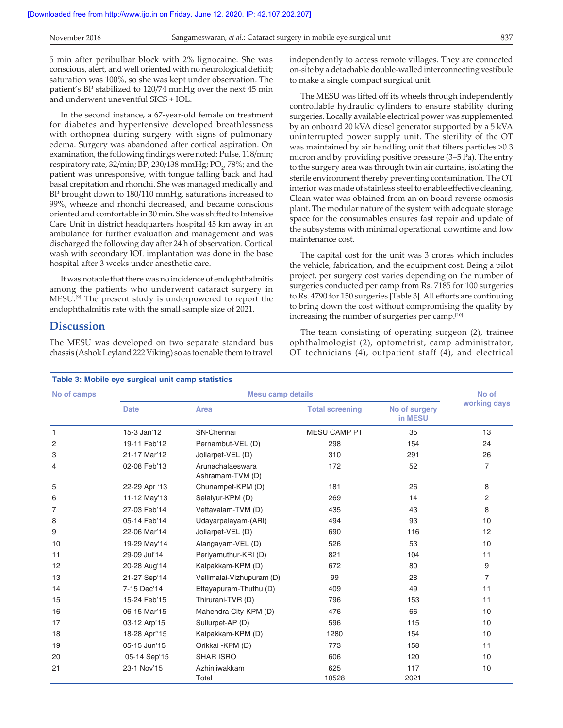5 min after peribulbar block with 2% lignocaine. She was conscious, alert, and well oriented with no neurological deficit; saturation was 100%, so she was kept under observation. The patient's BP stabilized to 120/74 mmHg over the next 45 min and underwent uneventful SICS + IOL.

In the second instance, a 67‑year‑old female on treatment for diabetes and hypertensive developed breathlessness with orthopnea during surgery with signs of pulmonary edema. Surgery was abandoned after cortical aspiration. On examination, the following findings were noted: Pulse, 118/min; respiratory rate, 32/min; BP, 230/138 mmHg;  $\text{PO}_{2'}$  78%; and the patient was unresponsive, with tongue falling back and had basal crepitation and rhonchi. She was managed medically and BP brought down to 180/110 mmHg, saturations increased to 99%, wheeze and rhonchi decreased, and became conscious oriented and comfortable in 30 min. She was shifted to Intensive Care Unit in district headquarters hospital 45 km away in an ambulance for further evaluation and management and was discharged the following day after 24 h of observation. Cortical wash with secondary IOL implantation was done in the base hospital after 3 weeks under anesthetic care.

It was notable that there was no incidence of endophthalmitis among the patients who underwent cataract surgery in MESU.[9] The present study is underpowered to report the endophthalmitis rate with the small sample size of 2021.

#### **Discussion**

The MESU was developed on two separate standard bus chassis (Ashok Leyland 222 Viking) so as to enable them to travel independently to access remote villages. They are connected on‑site by a detachable double‑walled interconnecting vestibule to make a single compact surgical unit.

The MESU was lifted off its wheels through independently controllable hydraulic cylinders to ensure stability during surgeries. Locally available electrical power was supplemented by an onboard 20 kVA diesel generator supported by a 5 kVA uninterrupted power supply unit. The sterility of the OT was maintained by air handling unit that filters particles >0.3 micron and by providing positive pressure (3–5 Pa). The entry to the surgery area was through twin air curtains, isolating the sterile environment thereby preventing contamination. The OT interior was made of stainless steel to enable effective cleaning. Clean water was obtained from an on‑board reverse osmosis plant. The modular nature of the system with adequate storage space for the consumables ensures fast repair and update of the subsystems with minimal operational downtime and low maintenance cost.

The capital cost for the unit was 3 crores which includes the vehicle, fabrication, and the equipment cost. Being a pilot project, per surgery cost varies depending on the number of surgeries conducted per camp from Rs. 7185 for 100 surgeries to Rs. 4790 for 150 surgeries [Table 3]. All efforts are continuing to bring down the cost without compromising the quality by increasing the number of surgeries per camp.[10]

The team consisting of operating surgeon (2), trainee ophthalmologist (2), optometrist, camp administrator, OT technicians (4), outpatient staff (4), and electrical

| No of camps    |               | <b>Mesu camp details</b>             |                        |                          |                |
|----------------|---------------|--------------------------------------|------------------------|--------------------------|----------------|
|                | <b>Date</b>   | Area                                 | <b>Total screening</b> | No of surgery<br>in MESU | working days   |
| 1              | 15-3 Jan'12   | SN-Chennai                           | <b>MESU CAMP PT</b>    | 35                       | 13             |
| 2              | 19-11 Feb'12  | Pernambut-VEL (D)                    | 298                    | 154                      | 24             |
| 3              | 21-17 Mar'12  | Jollarpet-VEL (D)                    | 310                    | 291                      | 26             |
| 4              | 02-08 Feb'13  | Arunachalaeswara<br>Ashramam-TVM (D) | 172                    | 52                       | $\overline{7}$ |
| 5              | 22-29 Apr '13 | Chunampet-KPM (D)                    | 181                    | 26                       | 8              |
| 6              | 11-12 May'13  | Selaiyur-KPM (D)                     | 269                    | 14                       | 2              |
| $\overline{7}$ | 27-03 Feb'14  | Vettavalam-TVM (D)                   | 435                    | 43                       | 8              |
| 8              | 05-14 Feb'14  | Udayarpalayam-(ARI)                  | 494                    | 93                       | 10             |
| 9              | 22-06 Mar'14  | Jollarpet-VEL (D)                    | 690                    | 116                      | 12             |
| 10             | 19-29 May'14  | Alangayam-VEL (D)                    | 526                    | 53                       | 10             |
| 11             | 29-09 Jul'14  | Periyamuthur-KRI (D)                 | 821                    | 104                      | 11             |
| 12             | 20-28 Aug'14  | Kalpakkam-KPM (D)                    | 672                    | 80                       | 9              |
| 13             | 21-27 Sep'14  | Vellimalai-Vizhupuram (D)            | 99                     | 28                       | $\overline{7}$ |
| 14             | 7-15 Dec'14   | Ettayapuram-Thuthu (D)               | 409                    | 49                       | 11             |
| 15             | 15-24 Feb'15  | Thirurani-TVR (D)                    | 796                    | 153                      | 11             |
| 16             | 06-15 Mar'15  | Mahendra City-KPM (D)                | 476                    | 66                       | 10             |
| 17             | 03-12 Arp'15  | Sullurpet-AP (D)                     | 596                    | 115                      | 10             |
| 18             | 18-28 Apr"15  | Kalpakkam-KPM (D)                    | 1280                   | 154                      | 10             |
| 19             | 05-15 Jun'15  | Orikkai - KPM (D)                    | 773                    | 158                      | 11             |
| 20             | 05-14 Sep'15  | <b>SHAR ISRO</b>                     | 606                    | 120                      | 10             |
| 21             | 23-1 Nov'15   | Azhinjiwakkam<br>Total               | 625<br>10528           | 117<br>2021              | 10             |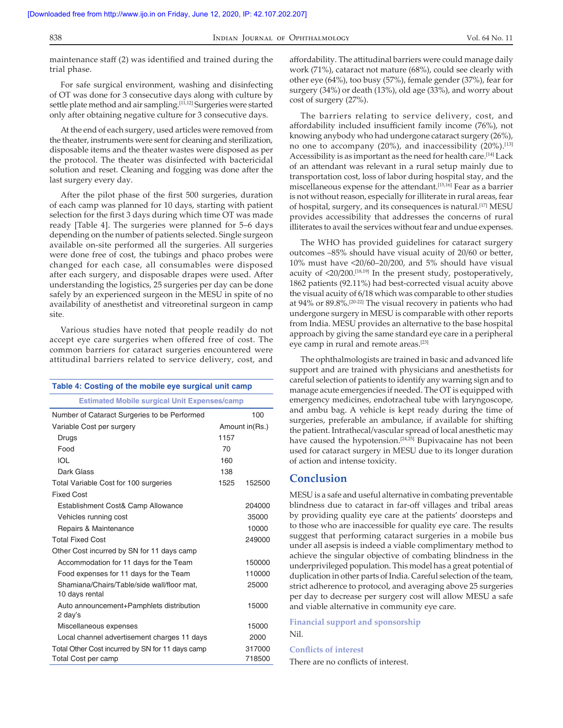| I<br>۰.<br>×<br>M.<br>v<br>۰.<br>v |  |
|------------------------------------|--|

#### INDIAN JOURNAL OF OPHTHALMOLOGY Vol. 64 No. 11

maintenance staff (2) was identified and trained during the trial phase.

For safe surgical environment, washing and disinfecting of OT was done for 3 consecutive days along with culture by settle plate method and air sampling.<sup>[11,12]</sup> Surgeries were started only after obtaining negative culture for 3 consecutive days.

At the end of each surgery, used articles were removed from the theater, instruments were sent for cleaning and sterilization, disposable items and the theater wastes were disposed as per the protocol. The theater was disinfected with bactericidal solution and reset. Cleaning and fogging was done after the last surgery every day.

After the pilot phase of the first 500 surgeries, duration of each camp was planned for 10 days, starting with patient selection for the first 3 days during which time OT was made ready [Table 4]. The surgeries were planned for 5–6 days depending on the number of patients selected. Single surgeon available on‑site performed all the surgeries. All surgeries were done free of cost, the tubings and phaco probes were changed for each case, all consumables were disposed after each surgery, and disposable drapes were used. After understanding the logistics, 25 surgeries per day can be done safely by an experienced surgeon in the MESU in spite of no availability of anesthetist and vitreoretinal surgeon in camp site.

Various studies have noted that people readily do not accept eye care surgeries when offered free of cost. The common barriers for cataract surgeries encountered were attitudinal barriers related to service delivery, cost, and

| Table 4: Costing of the mobile eye surgical unit camp        |      |                 |  |
|--------------------------------------------------------------|------|-----------------|--|
| <b>Estimated Mobile surgical Unit Expenses/camp</b>          |      |                 |  |
| Number of Cataract Surgeries to be Performed                 |      | 100             |  |
| Variable Cost per surgery                                    |      | Amount in (Rs.) |  |
| Drugs                                                        | 1157 |                 |  |
| Food                                                         | 70   |                 |  |
| IOL                                                          | 160  |                 |  |
| Dark Glass                                                   | 138  |                 |  |
| Total Variable Cost for 100 surgeries                        | 1525 | 152500          |  |
| <b>Fixed Cost</b>                                            |      |                 |  |
| Establishment Cost& Camp Allowance                           |      | 204000          |  |
| Vehicles running cost                                        |      | 35000           |  |
| Repairs & Maintenance                                        |      | 10000           |  |
| <b>Total Fixed Cost</b>                                      |      | 249000          |  |
| Other Cost incurred by SN for 11 days camp                   |      |                 |  |
| Accommodation for 11 days for the Team                       |      | 150000          |  |
| Food expenses for 11 days for the Team                       |      | 110000          |  |
| Shamiana/Chairs/Table/side wall/floor mat,<br>10 days rental |      | 25000           |  |
| Auto announcement+Pamphlets distribution<br>2 day's          |      | 15000           |  |
| Miscellaneous expenses                                       |      | 15000           |  |
| Local channel advertisement charges 11 days                  |      | 2000            |  |
| Total Other Cost incurred by SN for 11 days camp             |      | 317000          |  |
| Total Cost per camp                                          |      | 718500          |  |

affordability. The attitudinal barriers were could manage daily work (71%), cataract not mature (68%), could see clearly with other eye (64%), too busy (57%), female gender (37%), fear for surgery (34%) or death (13%), old age (33%), and worry about cost of surgery (27%).

The barriers relating to service delivery, cost, and affordability included insufficient family income (76%), not knowing anybody who had undergone cataract surgery (26%), no one to accompany (20%), and inaccessibility (20%).[13] Accessibility is as important as the need for health care.[14] Lack of an attendant was relevant in a rural setup mainly due to transportation cost, loss of labor during hospital stay, and the miscellaneous expense for the attendant.[15,16] Fear as a barrier is not without reason, especially for illiterate in rural areas, fear of hospital, surgery, and its consequences is natural.[17] MESU provides accessibility that addresses the concerns of rural illiterates to avail the services without fear and undue expenses.

The WHO has provided guidelines for cataract surgery outcomes –85% should have visual acuity of 20/60 or better, 10% must have <20/60–20/200, and 5% should have visual acuity of <20/200.[18,19] In the present study, postoperatively, 1862 patients (92.11%) had best-corrected visual acuity above the visual acuity of 6/18 which was comparable to other studies at 94% or 89.8%.[20‑22] The visual recovery in patients who had undergone surgery in MESU is comparable with other reports from India. MESU provides an alternative to the base hospital approach by giving the same standard eye care in a peripheral eye camp in rural and remote areas.[23]

The ophthalmologists are trained in basic and advanced life support and are trained with physicians and anesthetists for careful selection of patients to identify any warning sign and to manage acute emergencies if needed. The OT is equipped with emergency medicines, endotracheal tube with laryngoscope, and ambu bag. A vehicle is kept ready during the time of surgeries, preferable an ambulance, if available for shifting the patient. Intrathecal/vascular spread of local anesthetic may have caused the hypotension.<sup>[24,25]</sup> Bupivacaine has not been used for cataract surgery in MESU due to its longer duration of action and intense toxicity.

#### **Conclusion**

MESU is a safe and useful alternative in combating preventable blindness due to cataract in far‑off villages and tribal areas by providing quality eye care at the patients' doorsteps and to those who are inaccessible for quality eye care. The results suggest that performing cataract surgeries in a mobile bus under all asepsis is indeed a viable complimentary method to achieve the singular objective of combating blindness in the underprivileged population. This model has a great potential of duplication in other parts of India. Careful selection of the team, strict adherence to protocol, and averaging above 25 surgeries per day to decrease per surgery cost will allow MESU a safe and viable alternative in community eye care.

**Financial support and sponsorship** Nil.

#### **Conflicts of interest**

There are no conflicts of interest.